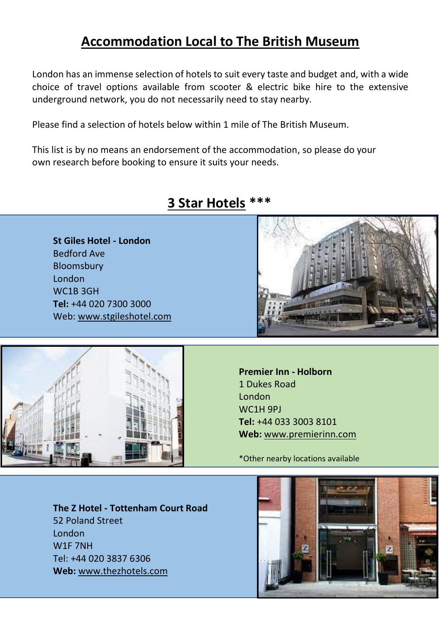## **Accommodation Local to The British Museum**

London has an immense selection of hotels to suit every taste and budget and, with a wide choice of travel options available from scooter & electric bike hire to the extensive underground network, you do not necessarily need to stay nearby.

Please find a selection of hotels below within 1 mile of The British Museum.

This list is by no means an endorsement of the accommodation, so please do your own research before booking to ensure it suits your needs.



## **3 Star Hotels \*\*\***

**St Giles Hotel - London** Bedford Ave Bloomsbury London WC1B 3GH **Tel:** +44 020 7300 3000 Web: [www.stgileshotel.com](https://www.stgileshotels.com/hotels/united-kingdom/london/stgiles-london/)



**Premier Inn - Holborn** 1 Dukes Road London WC1H 9PJ **Tel:** +44 033 3003 8101 **Web:** [www.premierinn.com](https://www.premierinn.com/gb/en/hotels/england/greater-london/london/london-holborn.html?cid=GLBC_LONHOL)

\*Other nearby locations available

**The Z Hotel - Tottenham Court Road** 52 Poland Street London W1F 7NH Tel: +44 020 3837 6306 **Web:** [www.thezhotels.com](https://www.thezhotels.com/hotels/tottenham-court-road/)

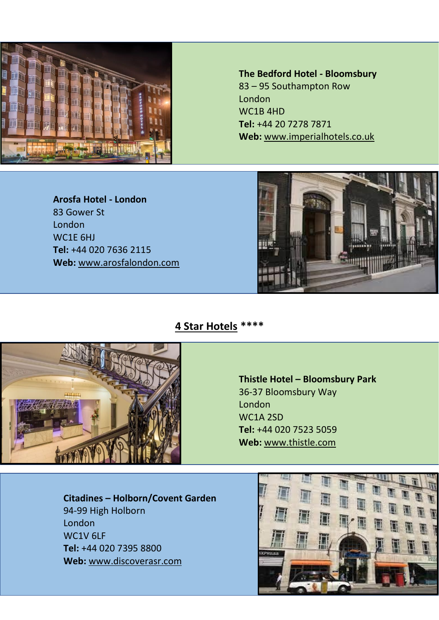

**The Bedford Hotel - Bloomsbury** 83 – 95 Southampton Row London WC1B 4HD **Tel:** [+44 20 7278 7871](tel:+442072787871) **Web:** [www.imperialhotels.co.uk](https://www.imperialhotels.co.uk/hotels/bedford-hotel)

**Arosfa Hotel - London** 83 Gower St London WC1E 6HJ **Tel:** +44 020 7636 2115 **Web:** [www.arosfalondon.com](http://www.arosfalondon.com/)



**4 Star Hotels \*\*\*\***



**Thistle Hotel – Bloomsbury Park**  36-37 Bloomsbury Way London WC1A 2SD **Tel:** +44 020 7523 5059 **Web:** [www.thistle.com](https://www.thistle.com/en/hotels/london/bloomsbury-park.html)

**Citadines – Holborn/Covent Garden** 94-99 High Holborn London WC1V 6LF **Tel:** +44 020 7395 8800 **Web:** www.discoverasr.com